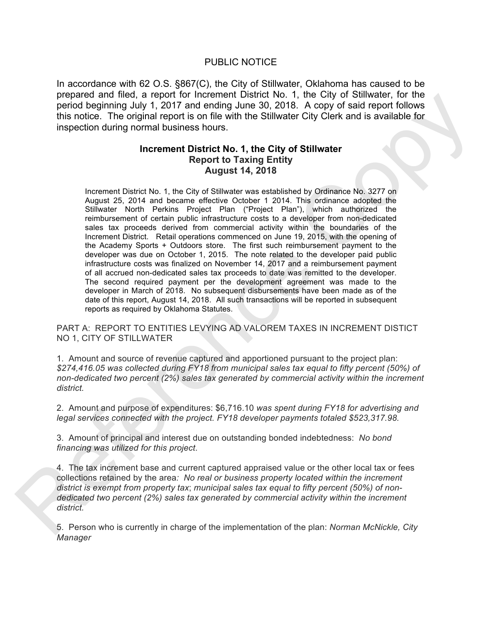## PUBLIC NOTICE

In accordance with 62 O.S. §867(C), the City of Stillwater, Oklahoma has caused to be prepared and filed, a report for Increment District No. 1, the City of Stillwater, for the period beginning July 1, 2017 and ending June 30, 2018. A copy of said report follows this notice. The original report is on file with the Stillwater City Clerk and is available for inspection during normal business hours.

## **Increment District No. 1, the City of Stillwater Report to Taxing Entity August 14, 2018**

Increment District No. 1, the City of Stillwater was established by Ordinance No. 3277 on August 25, 2014 and became effective October 1 2014. This ordinance adopted the Stillwater North Perkins Project Plan ("Project Plan"), which authorized the reimbursement of certain public infrastructure costs to a developer from non-dedicated sales tax proceeds derived from commercial activity within the boundaries of the Increment District. Retail operations commenced on June 19, 2015, with the opening of the Academy Sports + Outdoors store. The first such reimbursement payment to the developer was due on October 1, 2015. The note related to the developer paid public infrastructure costs was finalized on November 14, 2017 and a reimbursement payment of all accrued non-dedicated sales tax proceeds to date was remitted to the developer. The second required payment per the development agreement was made to the developer in March of 2018. No subsequent disbursements have been made as of the date of this report, August 14, 2018. All such transactions will be reported in subsequent reports as required by Oklahoma Statutes. prepared and mean a report of interement users and the proportion of the control of the proportion of the state of the other and mean and the state interest the other than the proportion of the state interest the other th

PART A: REPORT TO ENTITIES LEVYING AD VALOREM TAXES IN INCREMENT DISTICT NO 1, CITY OF STILLWATER

1. Amount and source of revenue captured and apportioned pursuant to the project plan: *\$274,416.05 was collected during FY18 from municipal sales tax equal to fifty percent (50%) of non-dedicated two percent (2%) sales tax generated by commercial activity within the increment district.*

2. Amount and purpose of expenditures: \$6,716.10 *was spent during FY18 for advertising and legal services connected with the project. FY18 developer payments totaled \$523,317.98.*

3. Amount of principal and interest due on outstanding bonded indebtedness: *No bond financing was utilized for this project*.

4. The tax increment base and current captured appraised value or the other local tax or fees collections retained by the area*: No real or business property located within the increment district is exempt from property tax*; *municipal sales tax equal to fifty percent (50%) of nondedicated two percent (2%) sales tax generated by commercial activity within the increment district.*

5. Person who is currently in charge of the implementation of the plan: *Norman McNickle, City Manager*